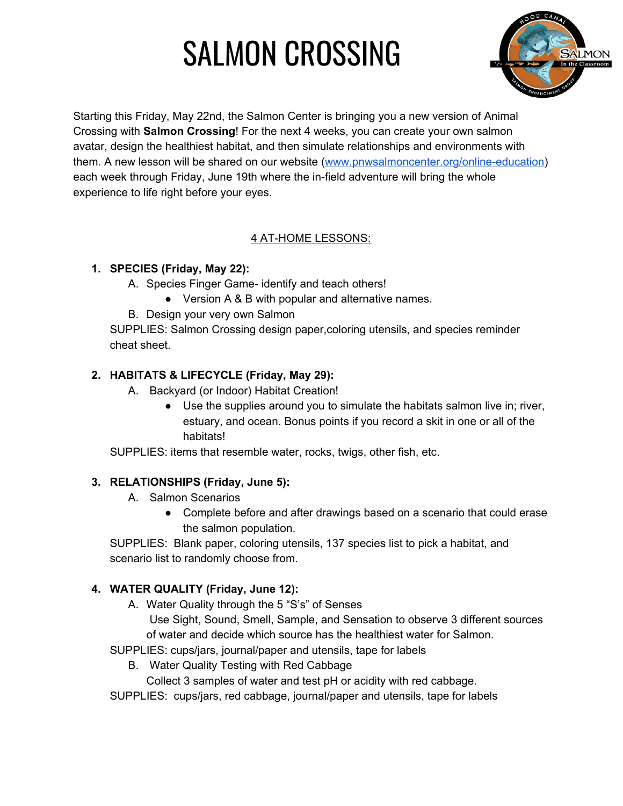# SALMON CROSSING



Starting this Friday, May 22nd, the Salmon Center is bringing you a new version of Animal Crossing with **Salmon Crossing**! For the next 4 weeks, you can create your own salmon avatar, design the healthiest habitat, and then simulate relationships and environments with them. A new lesson will be shared on our website ([www.pnwsalmoncenter.org/online-education\)](http://www.pnwsalmoncenter.org/online-education) each week through Friday, June 19th where the in-field adventure will bring the whole experience to life right before your eyes.

#### 4 AT-HOME LESSONS:

## **1. SPECIES (Friday, May 22):**

- A. Species Finger Game- identify and teach others!
	- Version A & B with popular and alternative names.
- B. Design your very own Salmon

SUPPLIES: Salmon Crossing design paper,coloring utensils, and species reminder cheat sheet.

## **2. HABITATS & LIFECYCLE (Friday, May 29):**

- A. Backyard (or Indoor) Habitat Creation!
	- Use the supplies around you to simulate the habitats salmon live in; river, estuary, and ocean. Bonus points if you record a skit in one or all of the habitats!

SUPPLIES: items that resemble water, rocks, twigs, other fish, etc.

#### **3. RELATIONSHIPS (Friday, June 5):**

- A. Salmon Scenarios
	- Complete before and after drawings based on a scenario that could erase the salmon population.

SUPPLIES: Blank paper, coloring utensils, 137 species list to pick a habitat, and scenario list to randomly choose from.

#### **4. WATER QUALITY (Friday, June 12):**

A. Water Quality through the 5 "S's" of Senses

Use Sight, Sound, Smell, Sample, and Sensation to observe 3 different sources of water and decide which source has the healthiest water for Salmon.

SUPPLIES: cups/jars, journal/paper and utensils, tape for labels

B. Water Quality Testing with Red Cabbage

Collect 3 samples of water and test pH or acidity with red cabbage.

SUPPLIES: cups/jars, red cabbage, journal/paper and utensils, tape for labels